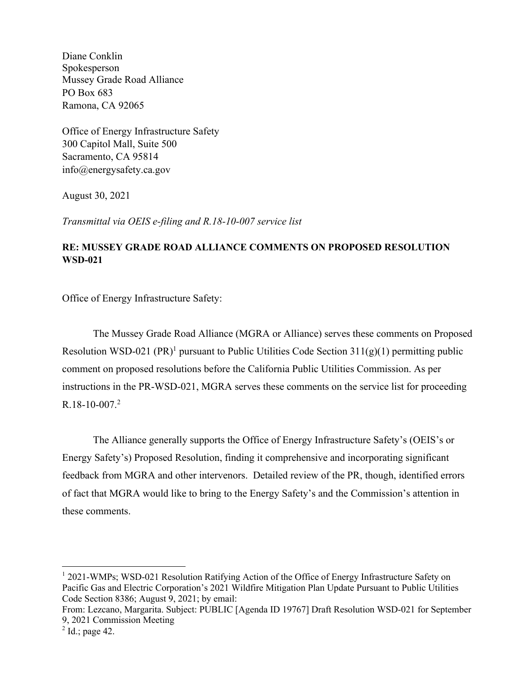Diane Conklin Spokesperson Mussey Grade Road Alliance PO Box 683 Ramona, CA 92065

Office of Energy Infrastructure Safety 300 Capitol Mall, Suite 500 Sacramento, CA 95814 info@energysafety.ca.gov

August 30, 2021

*Transmittal via OEIS e-filing and R.18-10-007 service list*

# **RE: MUSSEY GRADE ROAD ALLIANCE COMMENTS ON PROPOSED RESOLUTION WSD-021**

Office of Energy Infrastructure Safety:

The Mussey Grade Road Alliance (MGRA or Alliance) serves these comments on Proposed Resolution WSD-021 (PR)<sup>1</sup> pursuant to Public Utilities Code Section  $311(g)(1)$  permitting public comment on proposed resolutions before the California Public Utilities Commission. As per instructions in the PR-WSD-021, MGRA serves these comments on the service list for proceeding R.18-10-007.<sup>2</sup>

The Alliance generally supports the Office of Energy Infrastructure Safety's (OEIS's or Energy Safety's) Proposed Resolution, finding it comprehensive and incorporating significant feedback from MGRA and other intervenors. Detailed review of the PR, though, identified errors of fact that MGRA would like to bring to the Energy Safety's and the Commission's attention in these comments.

<sup>&</sup>lt;sup>1</sup> 2021-WMPs; WSD-021 Resolution Ratifying Action of the Office of Energy Infrastructure Safety on Pacific Gas and Electric Corporation's 2021 Wildfire Mitigation Plan Update Pursuant to Public Utilities Code Section 8386; August 9, 2021; by email:

From: Lezcano, Margarita. Subject: PUBLIC [Agenda ID 19767] Draft Resolution WSD-021 for September 9, 2021 Commission Meeting

 $<sup>2</sup>$  Id.; page 42.</sup>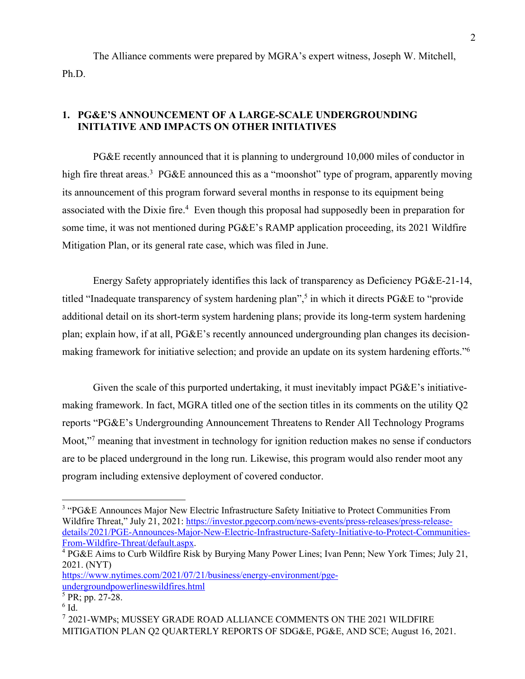The Alliance comments were prepared by MGRA's expert witness, Joseph W. Mitchell, Ph.D.

# **1. PG&E'S ANNOUNCEMENT OF A LARGE-SCALE UNDERGROUNDING INITIATIVE AND IMPACTS ON OTHER INITIATIVES**

PG&E recently announced that it is planning to underground 10,000 miles of conductor in high fire threat areas.<sup>3</sup> PG&E announced this as a "moonshot" type of program, apparently moving its announcement of this program forward several months in response to its equipment being associated with the Dixie fire.<sup>4</sup> Even though this proposal had supposedly been in preparation for some time, it was not mentioned during PG&E's RAMP application proceeding, its 2021 Wildfire Mitigation Plan, or its general rate case, which was filed in June.

Energy Safety appropriately identifies this lack of transparency as Deficiency PG&E-21-14, titled "Inadequate transparency of system hardening plan", <sup>5</sup> in which it directs PG&E to "provide additional detail on its short-term system hardening plans; provide its long-term system hardening plan; explain how, if at all, PG&E's recently announced undergrounding plan changes its decisionmaking framework for initiative selection; and provide an update on its system hardening efforts."<sup>6</sup>

Given the scale of this purported undertaking, it must inevitably impact PG&E's initiativemaking framework. In fact, MGRA titled one of the section titles in its comments on the utility Q2 reports "PG&E's Undergrounding Announcement Threatens to Render All Technology Programs Moot,"<sup>7</sup> meaning that investment in technology for ignition reduction makes no sense if conductors are to be placed underground in the long run. Likewise, this program would also render moot any program including extensive deployment of covered conductor.

<sup>&</sup>lt;sup>3</sup> "PG&E Announces Major New Electric Infrastructure Safety Initiative to Protect Communities From Wildfire Threat," July 21, 2021: https://investor.pgecorp.com/news-events/press-releases/press-releasedetails/2021/PGE-Announces-Major-New-Electric-Infrastructure-Safety-Initiative-to-Protect-Communities-From-Wildfire-Threat/default.aspx.

<sup>4</sup> PG&E Aims to Curb Wildfire Risk by Burying Many Power Lines; Ivan Penn; New York Times; July 21, 2021. (NYT)

https://www.nytimes.com/2021/07/21/business/energy-environment/pgeundergroundpowerlineswildfires.html

 $5$  PR; pp. 27-28.

 $6$  Id.

<sup>7</sup> 2021-WMPs; MUSSEY GRADE ROAD ALLIANCE COMMENTS ON THE 2021 WILDFIRE MITIGATION PLAN Q2 QUARTERLY REPORTS OF SDG&E, PG&E, AND SCE; August 16, 2021.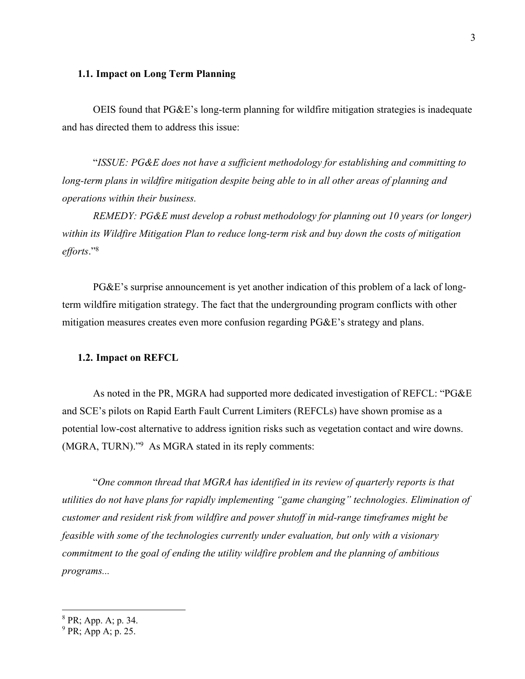# **1.1. Impact on Long Term Planning**

OEIS found that PG&E's long-term planning for wildfire mitigation strategies is inadequate and has directed them to address this issue:

"*ISSUE: PG&E does not have a sufficient methodology for establishing and committing to long-term plans in wildfire mitigation despite being able to in all other areas of planning and operations within their business.*

*REMEDY: PG&E must develop a robust methodology for planning out 10 years (or longer) within its Wildfire Mitigation Plan to reduce long-term risk and buy down the costs of mitigation efforts*."<sup>8</sup>

PG&E's surprise announcement is yet another indication of this problem of a lack of longterm wildfire mitigation strategy. The fact that the undergrounding program conflicts with other mitigation measures creates even more confusion regarding PG&E's strategy and plans.

### **1.2. Impact on REFCL**

As noted in the PR, MGRA had supported more dedicated investigation of REFCL: "PG&E and SCE's pilots on Rapid Earth Fault Current Limiters (REFCLs) have shown promise as a potential low-cost alternative to address ignition risks such as vegetation contact and wire downs. (MGRA, TURN)."<sup>9</sup> As MGRA stated in its reply comments:

"*One common thread that MGRA has identified in its review of quarterly reports is that utilities do not have plans for rapidly implementing "game changing" technologies. Elimination of customer and resident risk from wildfire and power shutoff in mid-range timeframes might be feasible with some of the technologies currently under evaluation, but only with a visionary commitment to the goal of ending the utility wildfire problem and the planning of ambitious programs...*

<sup>8</sup> PR; App. A; p. 34.

 $9$  PR; App A; p. 25.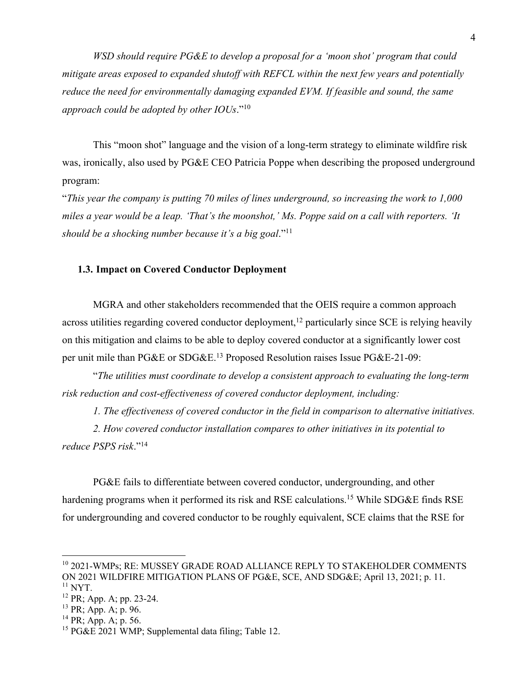*WSD should require PG&E to develop a proposal for a 'moon shot' program that could mitigate areas exposed to expanded shutoff with REFCL within the next few years and potentially reduce the need for environmentally damaging expanded EVM. If feasible and sound, the same approach could be adopted by other IOUs*."<sup>10</sup>

This "moon shot" language and the vision of a long-term strategy to eliminate wildfire risk was, ironically, also used by PG&E CEO Patricia Poppe when describing the proposed underground program:

"*This year the company is putting 70 miles of lines underground, so increasing the work to 1,000 miles a year would be a leap. 'That's the moonshot,' Ms. Poppe said on a call with reporters. 'It should be a shocking number because it's a big goal*."<sup>11</sup>

# **1.3. Impact on Covered Conductor Deployment**

MGRA and other stakeholders recommended that the OEIS require a common approach across utilities regarding covered conductor deployment,<sup>12</sup> particularly since SCE is relying heavily on this mitigation and claims to be able to deploy covered conductor at a significantly lower cost per unit mile than PG&E or SDG&E.<sup>13</sup> Proposed Resolution raises Issue PG&E-21-09:

"*The utilities must coordinate to develop a consistent approach to evaluating the long-term risk reduction and cost-effectiveness of covered conductor deployment, including:*

*1. The effectiveness of covered conductor in the field in comparison to alternative initiatives.*

*2. How covered conductor installation compares to other initiatives in its potential to reduce PSPS risk*."<sup>14</sup>

PG&E fails to differentiate between covered conductor, undergrounding, and other hardening programs when it performed its risk and RSE calculations.<sup>15</sup> While SDG&E finds RSE for undergrounding and covered conductor to be roughly equivalent, SCE claims that the RSE for

<sup>&</sup>lt;sup>10</sup> 2021-WMPs; RE: MUSSEY GRADE ROAD ALLIANCE REPLY TO STAKEHOLDER COMMENTS ON 2021 WILDFIRE MITIGATION PLANS OF PG&E, SCE, AND SDG&E; April 13, 2021; p. 11.  $11$  NYT.

 $12$  PR; App. A; pp. 23-24.

 $13$  PR; App. A; p. 96.

 $^{14}$  PR; App. A; p. 56.

<sup>&</sup>lt;sup>15</sup> PG&E 2021 WMP; Supplemental data filing; Table 12.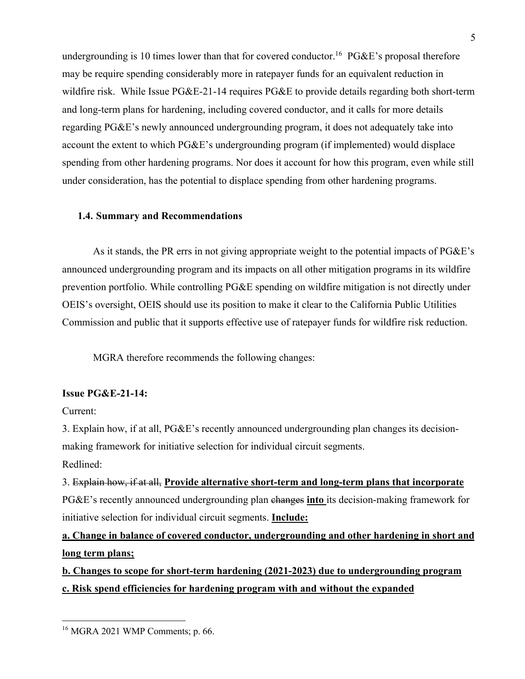undergrounding is 10 times lower than that for covered conductor.<sup>16</sup> PG&E's proposal therefore may be require spending considerably more in ratepayer funds for an equivalent reduction in wildfire risk. While Issue PG&E-21-14 requires PG&E to provide details regarding both short-term and long-term plans for hardening, including covered conductor, and it calls for more details regarding PG&E's newly announced undergrounding program, it does not adequately take into account the extent to which PG&E's undergrounding program (if implemented) would displace spending from other hardening programs. Nor does it account for how this program, even while still under consideration, has the potential to displace spending from other hardening programs.

# **1.4. Summary and Recommendations**

As it stands, the PR errs in not giving appropriate weight to the potential impacts of PG&E's announced undergrounding program and its impacts on all other mitigation programs in its wildfire prevention portfolio. While controlling PG&E spending on wildfire mitigation is not directly under OEIS's oversight, OEIS should use its position to make it clear to the California Public Utilities Commission and public that it supports effective use of ratepayer funds for wildfire risk reduction.

MGRA therefore recommends the following changes:

# **Issue PG&E-21-14:**

Current:

3. Explain how, if at all, PG&E's recently announced undergrounding plan changes its decisionmaking framework for initiative selection for individual circuit segments.

Redlined:

3. Explain how, if at all, **Provide alternative short-term and long-term plans that incorporate**  PG&E's recently announced undergrounding plan changes **into** its decision-making framework for initiative selection for individual circuit segments. **Include:**

# **a. Change in balance of covered conductor, undergrounding and other hardening in short and long term plans;**

**b. Changes to scope for short-term hardening (2021-2023) due to undergrounding program c. Risk spend efficiencies for hardening program with and without the expanded** 

<sup>16</sup> MGRA 2021 WMP Comments; p. 66.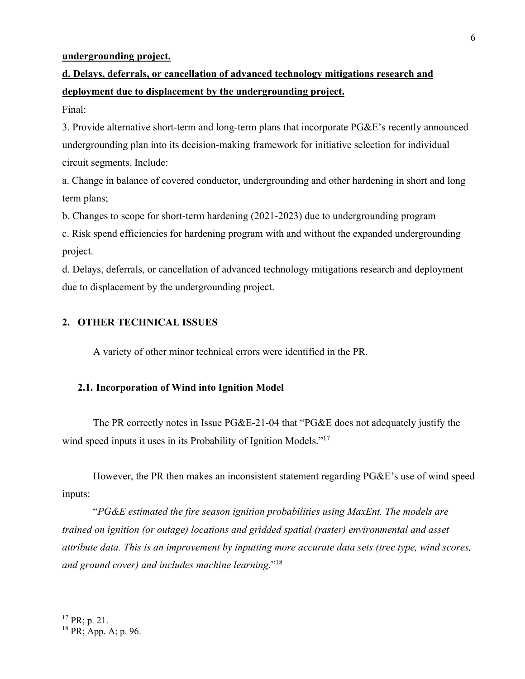# **undergrounding project.**

# **d. Delays, deferrals, or cancellation of advanced technology mitigations research and deployment due to displacement by the undergrounding project.**

Final:

3. Provide alternative short-term and long-term plans that incorporate PG&E's recently announced undergrounding plan into its decision-making framework for initiative selection for individual circuit segments. Include:

a. Change in balance of covered conductor, undergrounding and other hardening in short and long term plans;

b. Changes to scope for short-term hardening (2021-2023) due to undergrounding program

c. Risk spend efficiencies for hardening program with and without the expanded undergrounding project.

d. Delays, deferrals, or cancellation of advanced technology mitigations research and deployment due to displacement by the undergrounding project.

# **2. OTHER TECHNICAL ISSUES**

A variety of other minor technical errors were identified in the PR.

# **2.1. Incorporation of Wind into Ignition Model**

The PR correctly notes in Issue PG&E-21-04 that "PG&E does not adequately justify the wind speed inputs it uses in its Probability of Ignition Models."<sup>17</sup>

However, the PR then makes an inconsistent statement regarding PG&E's use of wind speed inputs:

"*PG&E estimated the fire season ignition probabilities using MaxEnt. The models are trained on ignition (or outage) locations and gridded spatial (raster) environmental and asset attribute data. This is an improvement by inputting more accurate data sets (tree type, wind scores, and ground cover) and includes machine learning*."<sup>18</sup>

 $17$  PR; p. 21.

 $18$  PR; App. A; p. 96.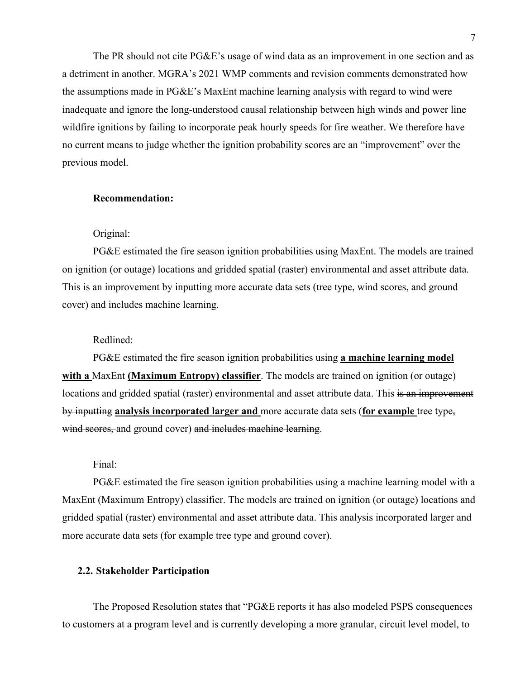The PR should not cite PG&E's usage of wind data as an improvement in one section and as a detriment in another. MGRA's 2021 WMP comments and revision comments demonstrated how the assumptions made in PG&E's MaxEnt machine learning analysis with regard to wind were inadequate and ignore the long-understood causal relationship between high winds and power line wildfire ignitions by failing to incorporate peak hourly speeds for fire weather. We therefore have no current means to judge whether the ignition probability scores are an "improvement" over the previous model.

# **Recommendation:**

#### Original:

PG&E estimated the fire season ignition probabilities using MaxEnt. The models are trained on ignition (or outage) locations and gridded spatial (raster) environmental and asset attribute data. This is an improvement by inputting more accurate data sets (tree type, wind scores, and ground cover) and includes machine learning.

## Redlined:

PG&E estimated the fire season ignition probabilities using **a machine learning model with a** MaxEnt **(Maximum Entropy) classifier**. The models are trained on ignition (or outage) locations and gridded spatial (raster) environmental and asset attribute data. This is an improvement by inputting **analysis incorporated larger and** more accurate data sets (**for example** tree type, wind scores, and ground cover) and includes machine learning.

Final:

PG&E estimated the fire season ignition probabilities using a machine learning model with a MaxEnt (Maximum Entropy) classifier. The models are trained on ignition (or outage) locations and gridded spatial (raster) environmental and asset attribute data. This analysis incorporated larger and more accurate data sets (for example tree type and ground cover).

# **2.2. Stakeholder Participation**

The Proposed Resolution states that "PG&E reports it has also modeled PSPS consequences to customers at a program level and is currently developing a more granular, circuit level model, to